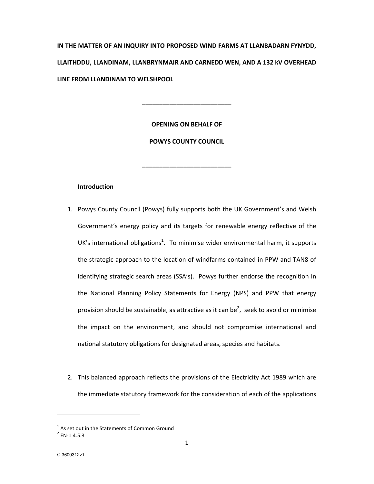IN THE MATTER OF AN INQUIRY INTO PROPOSED WIND FARMS AT LLANBADARN FYNYDD, LLAITHDDU, LLANDINAM, LLANBRYNMAIR AND CARNEDD WEN, AND A 132 kV OVERHEAD LINE FROM LLANDINAM TO WELSHPOOL

> OPENING ON BEHALF OF POWYS COUNTY COUNCIL

\_\_\_\_\_\_\_\_\_\_\_\_\_\_\_\_\_\_\_\_\_\_\_\_\_\_

\_\_\_\_\_\_\_\_\_\_\_\_\_\_\_\_\_\_\_\_\_\_\_\_\_\_

# Introduction

- 1. Powys County Council (Powys) fully supports both the UK Government's and Welsh Government's energy policy and its targets for renewable energy reflective of the UK's international obligations<sup>1</sup>. To minimise wider environmental harm, it supports the strategic approach to the location of windfarms contained in PPW and TAN8 of identifying strategic search areas (SSA's). Powys further endorse the recognition in the National Planning Policy Statements for Energy (NPS) and PPW that energy provision should be sustainable, as attractive as it can be<sup>2</sup>, seek to avoid or minimise the impact on the environment, and should not compromise international and national statutory obligations for designated areas, species and habitats.
- 2. This balanced approach reflects the provisions of the Electricity Act 1989 which are the immediate statutory framework for the consideration of each of the applications

 $1$  As set out in the Statements of Common Ground

 $2$  EN-1 4.5.3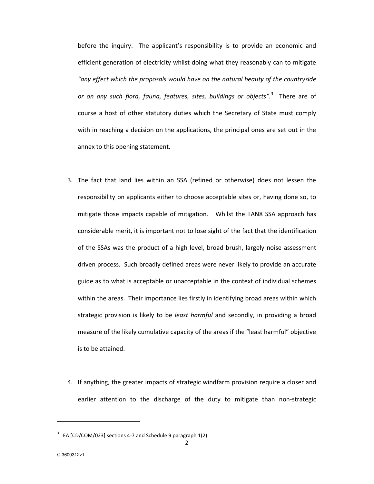before the inquiry. The applicant's responsibility is to provide an economic and efficient generation of electricity whilst doing what they reasonably can to mitigate "any effect which the proposals would have on the natural beauty of the countryside or on any such flora, fauna, features, sites, buildings or objects".<sup>3</sup> There are of course a host of other statutory duties which the Secretary of State must comply with in reaching a decision on the applications, the principal ones are set out in the annex to this opening statement.

- 3. The fact that land lies within an SSA (refined or otherwise) does not lessen the responsibility on applicants either to choose acceptable sites or, having done so, to mitigate those impacts capable of mitigation. Whilst the TAN8 SSA approach has considerable merit, it is important not to lose sight of the fact that the identification of the SSAs was the product of a high level, broad brush, largely noise assessment driven process. Such broadly defined areas were never likely to provide an accurate guide as to what is acceptable or unacceptable in the context of individual schemes within the areas. Their importance lies firstly in identifying broad areas within which strategic provision is likely to be *least harmful* and secondly, in providing a broad measure of the likely cumulative capacity of the areas if the "least harmful" objective is to be attained.
- 4. If anything, the greater impacts of strategic windfarm provision require a closer and earlier attention to the discharge of the duty to mitigate than non-strategic

2

 $3$  EA [CD/COM/023] sections 4-7 and Schedule 9 paragraph 1(2)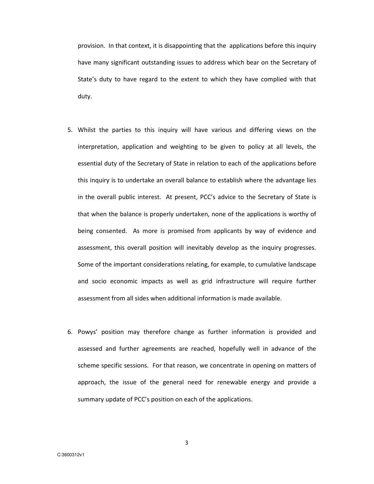provision. In that context, it is disappointing that the applications before this inquiry have many significant outstanding issues to address which bear on the Secretary of State's duty to have regard to the extent to which they have complied with that duty.

- 5. Whilst the parties to this inquiry will have various and differing views on the interpretation, application and weighting to be given to policy at all levels, the essential duty of the Secretary of State in relation to each of the applications before this inquiry is to undertake an overall balance to establish where the advantage lies in the overall public interest. At present, PCC's advice to the Secretary of State is that when the balance is properly undertaken, none of the applications is worthy of being consented. As more is promised from applicants by way of evidence and assessment, this overall position will inevitably develop as the inquiry progresses. Some of the important considerations relating, for example, to cumulative landscape and socio economic impacts as well as grid infrastructure will require further assessment from all sides when additional information is made available.
- 6. Powys' position may therefore change as further information is provided and assessed and further agreements are reached, hopefully well in advance of the scheme specific sessions. For that reason, we concentrate in opening on matters of approach, the issue of the general need for renewable energy and provide a summary update of PCC's position on each of the applications.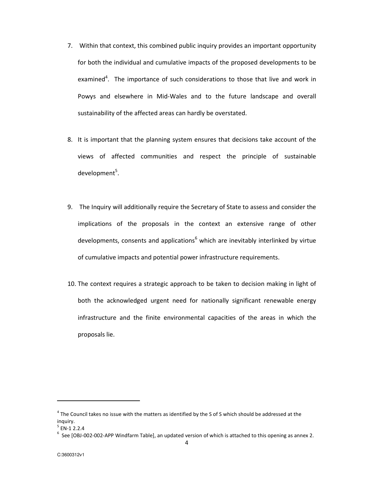- 7. Within that context, this combined public inquiry provides an important opportunity for both the individual and cumulative impacts of the proposed developments to be examined<sup>4</sup>. The importance of such considerations to those that live and work in Powys and elsewhere in Mid-Wales and to the future landscape and overall sustainability of the affected areas can hardly be overstated.
- 8. It is important that the planning system ensures that decisions take account of the views of affected communities and respect the principle of sustainable development<sup>5</sup>.
- 9. The Inquiry will additionally require the Secretary of State to assess and consider the implications of the proposals in the context an extensive range of other developments, consents and applications<sup>6</sup> which are inevitably interlinked by virtue of cumulative impacts and potential power infrastructure requirements.
- 10. The context requires a strategic approach to be taken to decision making in light of both the acknowledged urgent need for nationally significant renewable energy infrastructure and the finite environmental capacities of the areas in which the proposals lie.

 $\overline{a}$ 

 $^4$  The Council takes no issue with the matters as identified by the S of S which should be addressed at the inquiry.

 $5$  EN-1 2.2.4

 $<sup>6</sup>$  See [OBJ-002-002-APP Windfarm Table], an updated version of which is attached to this opening as annex 2.</sup>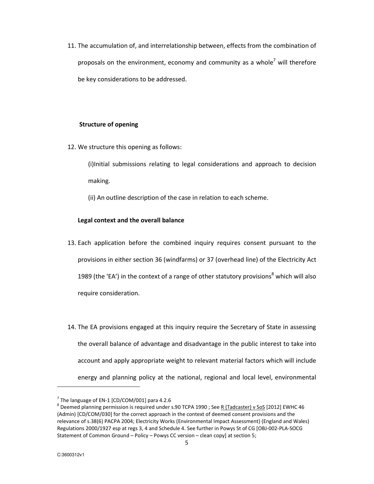11. The accumulation of, and interrelationship between, effects from the combination of proposals on the environment, economy and community as a whole<sup>7</sup> will therefore be key considerations to be addressed.

# Structure of opening

12. We structure this opening as follows:

(i)Initial submissions relating to legal considerations and approach to decision making.

(ii) An outline description of the case in relation to each scheme.

# Legal context and the overall balance

- 13. Each application before the combined inquiry requires consent pursuant to the provisions in either section 36 (windfarms) or 37 (overhead line) of the Electricity Act 1989 (the 'EA') in the context of a range of other statutory provisions<sup>8</sup> which will also require consideration.
- 14. The EA provisions engaged at this inquiry require the Secretary of State in assessing the overall balance of advantage and disadvantage in the public interest to take into account and apply appropriate weight to relevant material factors which will include energy and planning policy at the national, regional and local level, environmental

 $7$  The language of EN-1 [CD/COM/001] para 4.2.6

<sup>&</sup>lt;sup>8</sup> Deemed planning permission is required under s.90 TCPA 1990 ; See R (Tadcaster) v SoS [2012] EWHC 46 (Admin) [CD/COM/030] for the correct approach in the context of deemed consent provisions and the relevance of s.38(6) PACPA 2004; Electricity Works (Environmental Impact Assessment) (England and Wales) Regulations 2000/1927 esp at regs 3, 4 and Schedule 4. See further in Powys St of CG [OBJ-002-PLA-SOCG Statement of Common Ground – Policy – Powys CC version – clean copy] at section 5;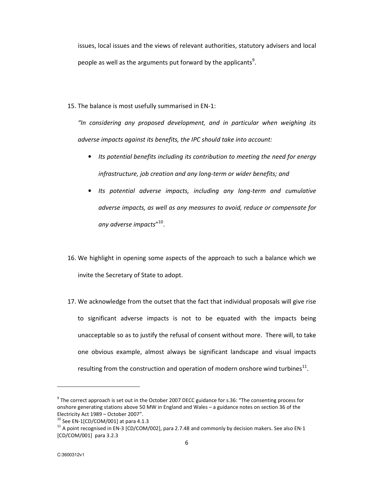issues, local issues and the views of relevant authorities, statutory advisers and local people as well as the arguments put forward by the applicants<sup>9</sup>.

15. The balance is most usefully summarised in EN-1:

"In considering any proposed development, and in particular when weighing its adverse impacts against its benefits, the IPC should take into account:

- Its potential benefits including its contribution to meeting the need for energy infrastructure, job creation and any long-term or wider benefits; and
- Its potential adverse impacts, including any long-term and cumulative adverse impacts, as well as any measures to avoid, reduce or compensate for any adverse impacts" <sup>10</sup>.
- 16. We highlight in opening some aspects of the approach to such a balance which we invite the Secretary of State to adopt.
- 17. We acknowledge from the outset that the fact that individual proposals will give rise to significant adverse impacts is not to be equated with the impacts being unacceptable so as to justify the refusal of consent without more. There will, to take one obvious example, almost always be significant landscape and visual impacts resulting from the construction and operation of modern onshore wind turbines $^{11}$ .

 $9$  The correct approach is set out in the October 2007 DECC guidance for s.36: "The consenting process for onshore generating stations above 50 MW in England and Wales – a guidance notes on section 36 of the Electricity Act 1989 – October 2007".

 $10$  See EN-1[CD/COM/001] at para 4.1.3

 $^{11}$  A point recognised in EN-3 [CD/COM/002], para 2.7.48 and commonly by decision makers. See also EN-1 [CD/COM/001] para 3.2.3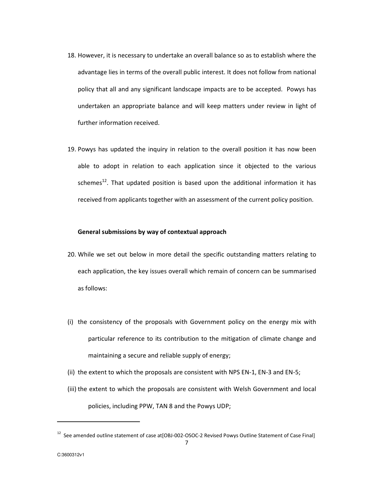- 18. However, it is necessary to undertake an overall balance so as to establish where the advantage lies in terms of the overall public interest. It does not follow from national policy that all and any significant landscape impacts are to be accepted. Powys has undertaken an appropriate balance and will keep matters under review in light of further information received.
- 19. Powys has updated the inquiry in relation to the overall position it has now been able to adopt in relation to each application since it objected to the various schemes<sup>12</sup>. That updated position is based upon the additional information it has received from applicants together with an assessment of the current policy position.

### General submissions by way of contextual approach

- 20. While we set out below in more detail the specific outstanding matters relating to each application, the key issues overall which remain of concern can be summarised as follows:
- (i) the consistency of the proposals with Government policy on the energy mix with particular reference to its contribution to the mitigation of climate change and maintaining a secure and reliable supply of energy;
- (ii) the extent to which the proposals are consistent with NPS EN-1, EN-3 and EN-5;
- (iii) the extent to which the proposals are consistent with Welsh Government and local policies, including PPW, TAN 8 and the Powys UDP;

<sup>7</sup>   $12$  See amended outline statement of case at [OBJ-002-OSOC-2 Revised Powys Outline Statement of Case Final]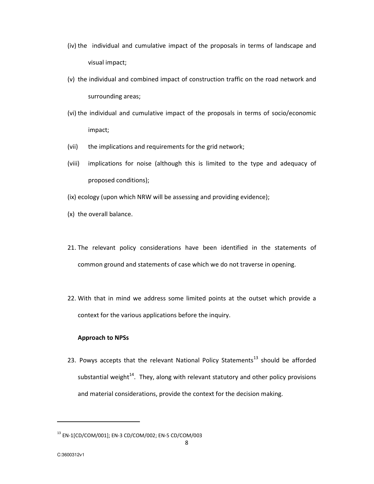- (iv) the individual and cumulative impact of the proposals in terms of landscape and visual impact;
- (v) the individual and combined impact of construction traffic on the road network and surrounding areas;
- (vi) the individual and cumulative impact of the proposals in terms of socio/economic impact;
- (vii) the implications and requirements for the grid network;
- (viii) implications for noise (although this is limited to the type and adequacy of proposed conditions);
- (ix) ecology (upon which NRW will be assessing and providing evidence);
- (x) the overall balance.
- 21. The relevant policy considerations have been identified in the statements of common ground and statements of case which we do not traverse in opening.
- 22. With that in mind we address some limited points at the outset which provide a context for the various applications before the inquiry.

# Approach to NPSs

23. Powys accepts that the relevant National Policy Statements $^{13}$  should be afforded substantial weight<sup>14</sup>. They, along with relevant statutory and other policy provisions and material considerations, provide the context for the decision making.

<sup>13</sup> EN-1[CD/COM/001]; EN-3 CD/COM/002; EN-5 CD/COM/003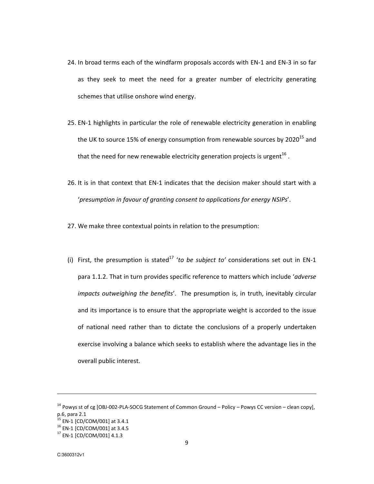- 24. In broad terms each of the windfarm proposals accords with EN-1 and EN-3 in so far as they seek to meet the need for a greater number of electricity generating schemes that utilise onshore wind energy.
- 25. EN-1 highlights in particular the role of renewable electricity generation in enabling the UK to source 15% of energy consumption from renewable sources by 2020<sup>15</sup> and that the need for new renewable electricity generation projects is urgent $^{16}$  .
- 26. It is in that context that EN-1 indicates that the decision maker should start with a 'presumption in favour of granting consent to applications for energy NSIPs'.
- 27. We make three contextual points in relation to the presumption:
- (i) First, the presumption is stated<sup>17</sup> 'to be subject to' considerations set out in EN-1 para 1.1.2. That in turn provides specific reference to matters which include 'adverse impacts outweighing the benefits'. The presumption is, in truth, inevitably circular and its importance is to ensure that the appropriate weight is accorded to the issue of national need rather than to dictate the conclusions of a properly undertaken exercise involving a balance which seeks to establish where the advantage lies in the overall public interest.

l

 $14$  Powys st of cg [OBJ-002-PLA-SOCG Statement of Common Ground – Policy – Powys CC version – clean copy], p.6, para 2.1  $^{\frac{1}{2}}$  EN-1 [CD/COM/001] at 3.4.1  $16$  EN-1 [CD/COM/001] at 3.4.5

<sup>&</sup>lt;sup>17</sup> EN-1 [CD/COM/001] 4.1.3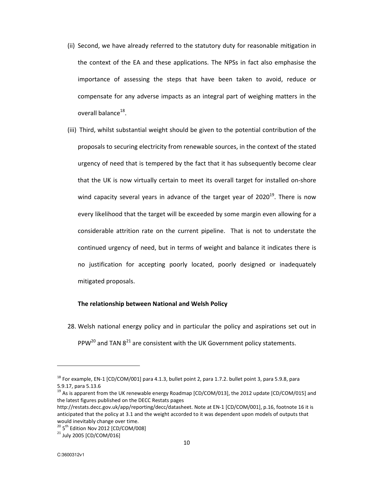- (ii) Second, we have already referred to the statutory duty for reasonable mitigation in the context of the EA and these applications. The NPSs in fact also emphasise the importance of assessing the steps that have been taken to avoid, reduce or compensate for any adverse impacts as an integral part of weighing matters in the overall balance<sup>18</sup>.
- (iii) Third, whilst substantial weight should be given to the potential contribution of the proposals to securing electricity from renewable sources, in the context of the stated urgency of need that is tempered by the fact that it has subsequently become clear that the UK is now virtually certain to meet its overall target for installed on-shore wind capacity several years in advance of the target year of  $2020^{19}$ . There is now every likelihood that the target will be exceeded by some margin even allowing for a considerable attrition rate on the current pipeline. That is not to understate the continued urgency of need, but in terms of weight and balance it indicates there is no justification for accepting poorly located, poorly designed or inadequately mitigated proposals.

# The relationship between National and Welsh Policy

28. Welsh national energy policy and in particular the policy and aspirations set out in PPW<sup>20</sup> and TAN  $8^{21}$  are consistent with the UK Government policy statements.

 $^{18}$  For example, EN-1 [CD/COM/001] para 4.1.3, bullet point 2, para 1.7.2. bullet point 3, para 5.9.8, para 5.9.17, para 5.13.6

 $19$  As is apparent from the UK renewable energy Roadmap [CD/COM/013], the 2012 update [CD/COM/015] and the latest figures published on the DECC Restats pages

http://restats.decc.gov.uk/app/reporting/decc/datasheet. Note at EN-1 [CD/COM/001], p.16, footnote 16 it is anticipated that the policy at 3.1 and the weight accorded to it was dependent upon models of outputs that would inevitably change over time.

 $20~5$ <sup>th</sup> Edition Nov 2012 [CD/COM/008]

 $^{21}$  July 2005 [CD/COM/016]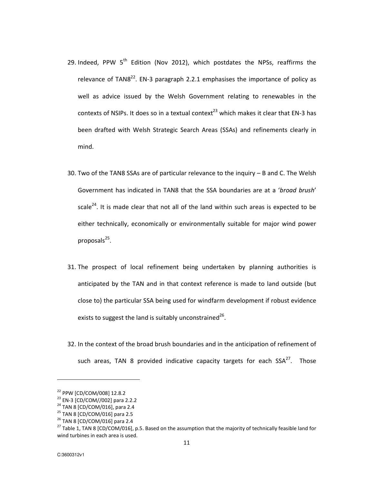- 29. Indeed, PPW 5<sup>th</sup> Edition (Nov 2012), which postdates the NPSs, reaffirms the relevance of TAN8 $^{22}$ . EN-3 paragraph 2.2.1 emphasises the importance of policy as well as advice issued by the Welsh Government relating to renewables in the contexts of NSIPs. It does so in a textual context<sup>23</sup> which makes it clear that EN-3 has been drafted with Welsh Strategic Search Areas (SSAs) and refinements clearly in mind.
- 30. Two of the TAN8 SSAs are of particular relevance to the inquiry B and C. The Welsh Government has indicated in TAN8 that the SSA boundaries are at a 'broad brush' scale<sup>24</sup>. It is made clear that not all of the land within such areas is expected to be either technically, economically or environmentally suitable for major wind power proposals<sup>25</sup>.
- 31. The prospect of local refinement being undertaken by planning authorities is anticipated by the TAN and in that context reference is made to land outside (but close to) the particular SSA being used for windfarm development if robust evidence exists to suggest the land is suitably unconstrained<sup>26</sup>.
- 32. In the context of the broad brush boundaries and in the anticipation of refinement of such areas, TAN 8 provided indicative capacity targets for each  $SSA^{27}$ . Those

<sup>22</sup> PPW [CD/COM/008] 12.8.2

<sup>23</sup> EN-3 [CD/COM//002] para 2.2.2

<sup>&</sup>lt;sup>24</sup> TAN 8 [CD/COM/016], para 2.4

 $25$  TAN 8 [CD/COM/016] para 2.5

<sup>&</sup>lt;sup>26</sup> TAN 8 [CD/COM/016] para 2.4

<sup>&</sup>lt;sup>27</sup> Table 1, TAN 8 [CD/COM/016], p.5. Based on the assumption that the majority of technically feasible land for wind turbines in each area is used.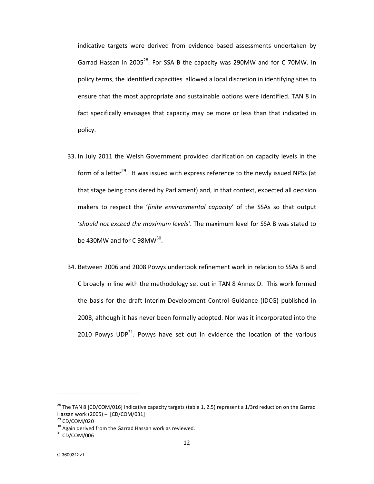indicative targets were derived from evidence based assessments undertaken by Garrad Hassan in 2005<sup>28</sup>. For SSA B the capacity was 290MW and for C 70MW. In policy terms, the identified capacities allowed a local discretion in identifying sites to ensure that the most appropriate and sustainable options were identified. TAN 8 in fact specifically envisages that capacity may be more or less than that indicated in policy.

- 33. In July 2011 the Welsh Government provided clarification on capacity levels in the form of a letter $^{29}$ . It was issued with express reference to the newly issued NPSs (at that stage being considered by Parliament) and, in that context, expected all decision makers to respect the 'finite environmental capacity' of the SSAs so that output 'should not exceed the maximum levels'. The maximum level for SSA B was stated to be 430MW and for C 98MW $^{30}$ .
- 34. Between 2006 and 2008 Powys undertook refinement work in relation to SSAs B and C broadly in line with the methodology set out in TAN 8 Annex D. This work formed the basis for the draft Interim Development Control Guidance (IDCG) published in 2008, although it has never been formally adopted. Nor was it incorporated into the 2010 Powys UDP $^{31}$ . Powys have set out in evidence the location of the various

<sup>&</sup>lt;sup>28</sup> The TAN 8 [CD/COM/016] indicative capacity targets (table 1, 2.5) represent a 1/3rd reduction on the Garrad Hassan work (2005) – [CD/COM/031]

 $29$  CD/COM/020

 $30$  Again derived from the Garrad Hassan work as reviewed.

 $31$  CD/COM/006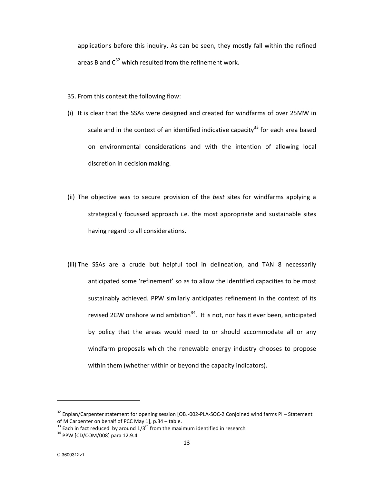applications before this inquiry. As can be seen, they mostly fall within the refined areas B and  $C^{32}$  which resulted from the refinement work.

- 35. From this context the following flow:
- (i) It is clear that the SSAs were designed and created for windfarms of over 25MW in scale and in the context of an identified indicative capacity<sup>33</sup> for each area based on environmental considerations and with the intention of allowing local discretion in decision making.
- (ii) The objective was to secure provision of the best sites for windfarms applying a strategically focussed approach i.e. the most appropriate and sustainable sites having regard to all considerations.
- (iii) The SSAs are a crude but helpful tool in delineation, and TAN 8 necessarily anticipated some 'refinement' so as to allow the identified capacities to be most sustainably achieved. PPW similarly anticipates refinement in the context of its revised 2GW onshore wind ambition<sup>34</sup>. It is not, nor has it ever been, anticipated by policy that the areas would need to or should accommodate all or any windfarm proposals which the renewable energy industry chooses to propose within them (whether within or beyond the capacity indicators).

 $\overline{a}$ 

<sup>&</sup>lt;sup>32</sup> Enplan/Carpenter statement for opening session [OBJ-002-PLA-SOC-2 Conjoined wind farms PI – Statement of M Carpenter on behalf of PCC May 1], p.34 – table.

 $33$  Each in fact reduced by around  $1/3^{rd}$  from the maximum identified in research

<sup>&</sup>lt;sup>34</sup> PPW [CD/COM/008] para 12.9.4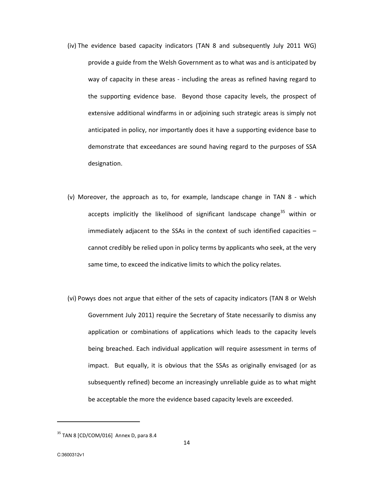- (iv) The evidence based capacity indicators (TAN 8 and subsequently July 2011 WG) provide a guide from the Welsh Government as to what was and is anticipated by way of capacity in these areas - including the areas as refined having regard to the supporting evidence base. Beyond those capacity levels, the prospect of extensive additional windfarms in or adjoining such strategic areas is simply not anticipated in policy, nor importantly does it have a supporting evidence base to demonstrate that exceedances are sound having regard to the purposes of SSA designation.
- (v) Moreover, the approach as to, for example, landscape change in TAN 8 which accepts implicitly the likelihood of significant landscape change<sup>35</sup> within or immediately adjacent to the SSAs in the context of such identified capacities – cannot credibly be relied upon in policy terms by applicants who seek, at the very same time, to exceed the indicative limits to which the policy relates.
- (vi) Powys does not argue that either of the sets of capacity indicators (TAN 8 or Welsh Government July 2011) require the Secretary of State necessarily to dismiss any application or combinations of applications which leads to the capacity levels being breached. Each individual application will require assessment in terms of impact. But equally, it is obvious that the SSAs as originally envisaged (or as subsequently refined) become an increasingly unreliable guide as to what might be acceptable the more the evidence based capacity levels are exceeded.

 $35$  TAN 8 [CD/COM/016] Annex D, para 8.4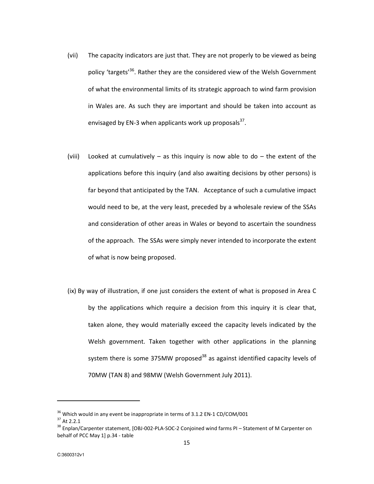- (vii) The capacity indicators are just that. They are not properly to be viewed as being policy 'targets'<sup>36</sup>. Rather they are the considered view of the Welsh Government of what the environmental limits of its strategic approach to wind farm provision in Wales are. As such they are important and should be taken into account as envisaged by EN-3 when applicants work up proposals<sup>37</sup>.
- (viii) Looked at cumulatively as this inquiry is now able to do the extent of the applications before this inquiry (and also awaiting decisions by other persons) is far beyond that anticipated by the TAN. Acceptance of such a cumulative impact would need to be, at the very least, preceded by a wholesale review of the SSAs and consideration of other areas in Wales or beyond to ascertain the soundness of the approach. The SSAs were simply never intended to incorporate the extent of what is now being proposed.
- (ix) By way of illustration, if one just considers the extent of what is proposed in Area C by the applications which require a decision from this inquiry it is clear that, taken alone, they would materially exceed the capacity levels indicated by the Welsh government. Taken together with other applications in the planning system there is some 375MW proposed<sup>38</sup> as against identified capacity levels of 70MW (TAN 8) and 98MW (Welsh Government July 2011).

 $\overline{a}$ 

 $36$  Which would in any event be inappropriate in terms of 3.1.2 EN-1 CD/COM/001

<sup>37</sup> At 2.2.1

<sup>&</sup>lt;sup>38</sup> Enplan/Carpenter statement, [OBJ-002-PLA-SOC-2 Conjoined wind farms PI – Statement of M Carpenter on behalf of PCC May 1] p.34 - table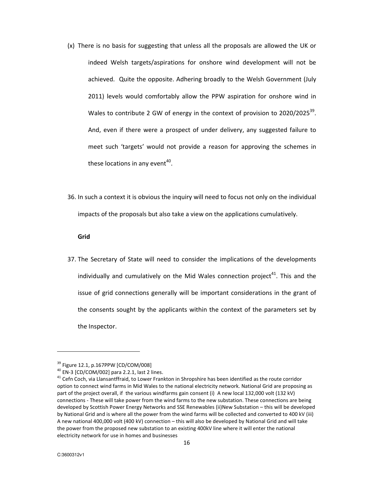- (x) There is no basis for suggesting that unless all the proposals are allowed the UK or indeed Welsh targets/aspirations for onshore wind development will not be achieved. Quite the opposite. Adhering broadly to the Welsh Government (July 2011) levels would comfortably allow the PPW aspiration for onshore wind in Wales to contribute 2 GW of energy in the context of provision to 2020/2025 $^{39}$ . And, even if there were a prospect of under delivery, any suggested failure to meet such 'targets' would not provide a reason for approving the schemes in these locations in any event<sup>40</sup>.
- 36. In such a context it is obvious the inquiry will need to focus not only on the individual impacts of the proposals but also take a view on the applications cumulatively.

### Grid

37. The Secretary of State will need to consider the implications of the developments individually and cumulatively on the Mid Wales connection project<sup>41</sup>. This and the issue of grid connections generally will be important considerations in the grant of the consents sought by the applicants within the context of the parameters set by the Inspector.

 $39$  Figure 12.1, p.167PPW [CD/COM/008]

<sup>40</sup> EN-3 [CD/COM/002] para 2.2.1, last 2 lines.

<sup>&</sup>lt;sup>41</sup> Cefn Coch, via Llansantffraid, to Lower Frankton in Shropshire has been identified as the route corridor option to connect wind farms in Mid Wales to the national electricity network. National Grid are proposing as part of the project overall, if the various windfarms gain consent (i) A new local 132,000 volt (132 kV) connections - These will take power from the wind farms to the new substation. These connections are being developed by Scottish Power Energy Networks and SSE Renewables (ii)New Substation – this will be developed by National Grid and is where all the power from the wind farms will be collected and converted to 400 kV (iii) A new national 400,000 volt (400 kV) connection – this will also be developed by National Grid and will take the power from the proposed new substation to an existing 400kV line where it will enter the national electricity network for use in homes and businesses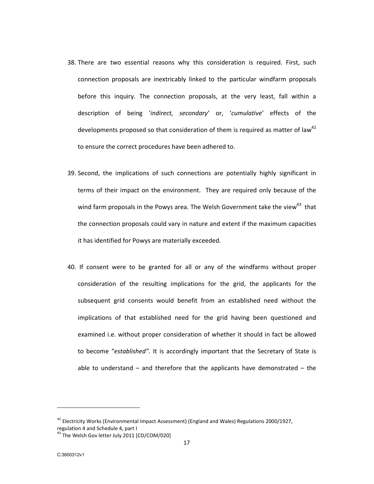- 38. There are two essential reasons why this consideration is required. First, such connection proposals are inextricably linked to the particular windfarm proposals before this inquiry. The connection proposals, at the very least, fall within a description of being 'indirect, secondary' or, 'cumulative' effects of the developments proposed so that consideration of them is required as matter of law<sup>42</sup> to ensure the correct procedures have been adhered to.
- 39. Second, the implications of such connections are potentially highly significant in terms of their impact on the environment. They are required only because of the wind farm proposals in the Powys area. The Welsh Government take the view $43$  that the connection proposals could vary in nature and extent if the maximum capacities it has identified for Powys are materially exceeded.
- 40. If consent were to be granted for all or any of the windfarms without proper consideration of the resulting implications for the grid, the applicants for the subsequent grid consents would benefit from an established need without the implications of that established need for the grid having been questioned and examined i.e. without proper consideration of whether it should in fact be allowed to become "established". It is accordingly important that the Secretary of State is able to understand  $-$  and therefore that the applicants have demonstrated  $-$  the

<sup>&</sup>lt;sup>42</sup> Electricity Works (Environmental Impact Assessment) (England and Wales) Regulations 2000/1927, regulation 4 and Schedule 4, part I

<sup>&</sup>lt;sup>43</sup> The Welsh Gov letter July 2011 [CD/COM/020]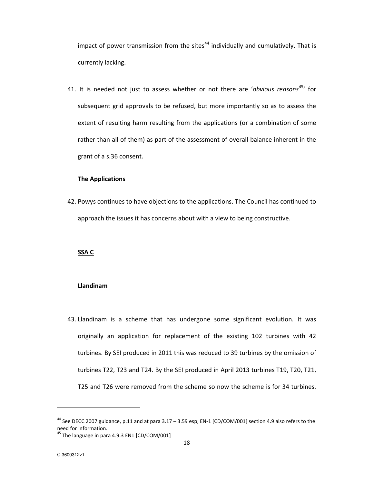impact of power transmission from the sites $44$  individually and cumulatively. That is currently lacking.

41. It is needed not just to assess whether or not there are 'obvious reasons<sup>45</sup>' for subsequent grid approvals to be refused, but more importantly so as to assess the extent of resulting harm resulting from the applications (or a combination of some rather than all of them) as part of the assessment of overall balance inherent in the grant of a s.36 consent.

### The Applications

42. Powys continues to have objections to the applications. The Council has continued to approach the issues it has concerns about with a view to being constructive.

# SSA C

#### Llandinam

43. Llandinam is a scheme that has undergone some significant evolution. It was originally an application for replacement of the existing 102 turbines with 42 turbines. By SEI produced in 2011 this was reduced to 39 turbines by the omission of turbines T22, T23 and T24. By the SEI produced in April 2013 turbines T19, T20, T21, T25 and T26 were removed from the scheme so now the scheme is for 34 turbines.

<sup>44</sup> See DECC 2007 guidance, p.11 and at para 3.17 – 3.59 esp; EN-1 [CD/COM/001] section 4.9 also refers to the need for information.

 $45$  The language in para 4.9.3 EN1 [CD/COM/001]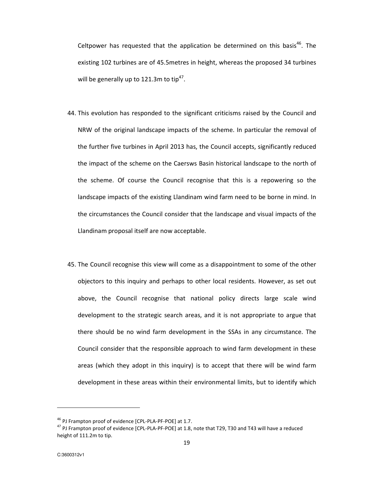Celtpower has requested that the application be determined on this basis $46$ . The existing 102 turbines are of 45.5metres in height, whereas the proposed 34 turbines will be generally up to 121.3m to tip<sup>47</sup>.

- 44. This evolution has responded to the significant criticisms raised by the Council and NRW of the original landscape impacts of the scheme. In particular the removal of the further five turbines in April 2013 has, the Council accepts, significantly reduced the impact of the scheme on the Caersws Basin historical landscape to the north of the scheme. Of course the Council recognise that this is a repowering so the landscape impacts of the existing Llandinam wind farm need to be borne in mind. In the circumstances the Council consider that the landscape and visual impacts of the Llandinam proposal itself are now acceptable.
- 45. The Council recognise this view will come as a disappointment to some of the other objectors to this inquiry and perhaps to other local residents. However, as set out above, the Council recognise that national policy directs large scale wind development to the strategic search areas, and it is not appropriate to argue that there should be no wind farm development in the SSAs in any circumstance. The Council consider that the responsible approach to wind farm development in these areas (which they adopt in this inquiry) is to accept that there will be wind farm development in these areas within their environmental limits, but to identify which

<sup>46</sup> PJ Frampton proof of evidence [CPL-PLA-PF-POE] at 1.7.

<sup>&</sup>lt;sup>47</sup> PJ Frampton proof of evidence [CPL-PLA-PF-POE] at 1.8, note that T29, T30 and T43 will have a reduced height of 111.2m to tip.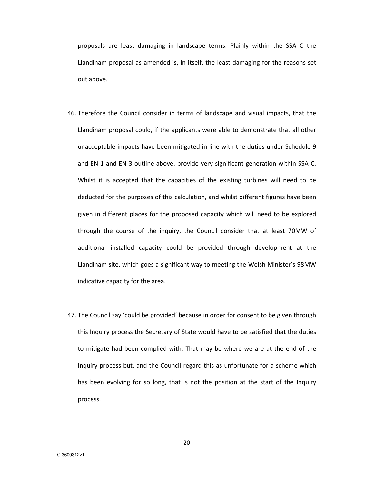proposals are least damaging in landscape terms. Plainly within the SSA C the Llandinam proposal as amended is, in itself, the least damaging for the reasons set out above.

- 46. Therefore the Council consider in terms of landscape and visual impacts, that the Llandinam proposal could, if the applicants were able to demonstrate that all other unacceptable impacts have been mitigated in line with the duties under Schedule 9 and EN-1 and EN-3 outline above, provide very significant generation within SSA C. Whilst it is accepted that the capacities of the existing turbines will need to be deducted for the purposes of this calculation, and whilst different figures have been given in different places for the proposed capacity which will need to be explored through the course of the inquiry, the Council consider that at least 70MW of additional installed capacity could be provided through development at the Llandinam site, which goes a significant way to meeting the Welsh Minister's 98MW indicative capacity for the area.
- 47. The Council say 'could be provided' because in order for consent to be given through this Inquiry process the Secretary of State would have to be satisfied that the duties to mitigate had been complied with. That may be where we are at the end of the Inquiry process but, and the Council regard this as unfortunate for a scheme which has been evolving for so long, that is not the position at the start of the Inquiry process.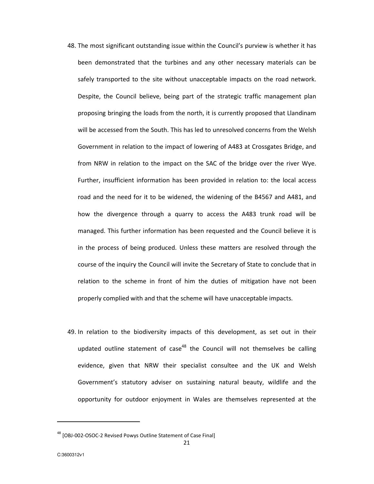- 48. The most significant outstanding issue within the Council's purview is whether it has been demonstrated that the turbines and any other necessary materials can be safely transported to the site without unacceptable impacts on the road network. Despite, the Council believe, being part of the strategic traffic management plan proposing bringing the loads from the north, it is currently proposed that Llandinam will be accessed from the South. This has led to unresolved concerns from the Welsh Government in relation to the impact of lowering of A483 at Crossgates Bridge, and from NRW in relation to the impact on the SAC of the bridge over the river Wye. Further, insufficient information has been provided in relation to: the local access road and the need for it to be widened, the widening of the B4567 and A481, and how the divergence through a quarry to access the A483 trunk road will be managed. This further information has been requested and the Council believe it is in the process of being produced. Unless these matters are resolved through the course of the inquiry the Council will invite the Secretary of State to conclude that in relation to the scheme in front of him the duties of mitigation have not been properly complied with and that the scheme will have unacceptable impacts.
- 49. In relation to the biodiversity impacts of this development, as set out in their updated outline statement of case<sup>48</sup> the Council will not themselves be calling evidence, given that NRW their specialist consultee and the UK and Welsh Government's statutory adviser on sustaining natural beauty, wildlife and the opportunity for outdoor enjoyment in Wales are themselves represented at the

<sup>&</sup>lt;sup>48</sup> [OBJ-002-OSOC-2 Revised Powys Outline Statement of Case Final]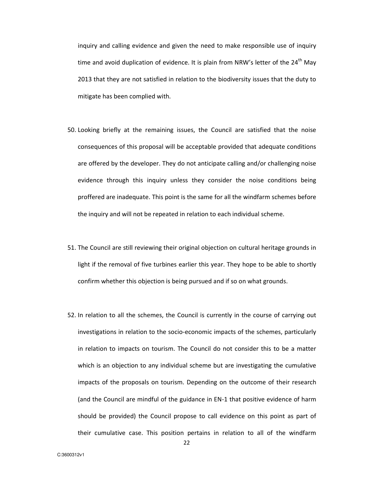inquiry and calling evidence and given the need to make responsible use of inquiry time and avoid duplication of evidence. It is plain from NRW's letter of the  $24<sup>th</sup>$  May 2013 that they are not satisfied in relation to the biodiversity issues that the duty to mitigate has been complied with.

- 50. Looking briefly at the remaining issues, the Council are satisfied that the noise consequences of this proposal will be acceptable provided that adequate conditions are offered by the developer. They do not anticipate calling and/or challenging noise evidence through this inquiry unless they consider the noise conditions being proffered are inadequate. This point is the same for all the windfarm schemes before the inquiry and will not be repeated in relation to each individual scheme.
- 51. The Council are still reviewing their original objection on cultural heritage grounds in light if the removal of five turbines earlier this year. They hope to be able to shortly confirm whether this objection is being pursued and if so on what grounds.
- 52. In relation to all the schemes, the Council is currently in the course of carrying out investigations in relation to the socio-economic impacts of the schemes, particularly in relation to impacts on tourism. The Council do not consider this to be a matter which is an objection to any individual scheme but are investigating the cumulative impacts of the proposals on tourism. Depending on the outcome of their research (and the Council are mindful of the guidance in EN-1 that positive evidence of harm should be provided) the Council propose to call evidence on this point as part of their cumulative case. This position pertains in relation to all of the windfarm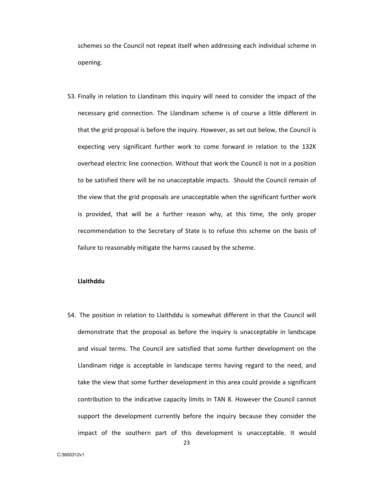schemes so the Council not repeat itself when addressing each individual scheme in opening.

53. Finally in relation to Llandinam this inquiry will need to consider the impact of the necessary grid connection. The Llandinam scheme is of course a little different in that the grid proposal is before the inquiry. However, as set out below, the Council is expecting very significant further work to come forward in relation to the 132K overhead electric line connection. Without that work the Council is not in a position to be satisfied there will be no unacceptable impacts. Should the Council remain of the view that the grid proposals are unacceptable when the significant further work is provided, that will be a further reason why, at this time, the only proper recommendation to the Secretary of State is to refuse this scheme on the basis of failure to reasonably mitigate the harms caused by the scheme.

### Llaithddu

54. The position in relation to Llaithddu is somewhat different in that the Council will demonstrate that the proposal as before the inquiry is unacceptable in landscape and visual terms. The Council are satisfied that some further development on the Llandinam ridge is acceptable in landscape terms having regard to the need, and take the view that some further development in this area could provide a significant contribution to the indicative capacity limits in TAN 8. However the Council cannot support the development currently before the inquiry because they consider the impact of the southern part of this development is unacceptable. It would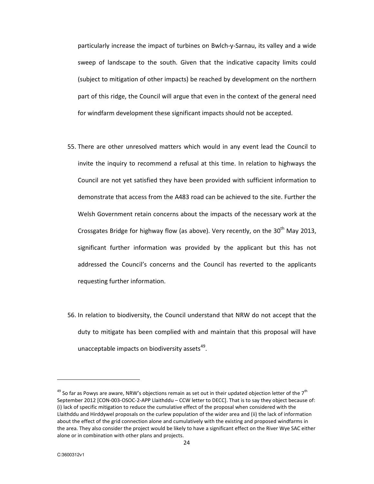particularly increase the impact of turbines on Bwlch-y-Sarnau, its valley and a wide sweep of landscape to the south. Given that the indicative capacity limits could (subject to mitigation of other impacts) be reached by development on the northern part of this ridge, the Council will argue that even in the context of the general need for windfarm development these significant impacts should not be accepted.

- 55. There are other unresolved matters which would in any event lead the Council to invite the inquiry to recommend a refusal at this time. In relation to highways the Council are not yet satisfied they have been provided with sufficient information to demonstrate that access from the A483 road can be achieved to the site. Further the Welsh Government retain concerns about the impacts of the necessary work at the Crossgates Bridge for highway flow (as above). Very recently, on the  $30<sup>th</sup>$  May 2013, significant further information was provided by the applicant but this has not addressed the Council's concerns and the Council has reverted to the applicants requesting further information.
- 56. In relation to biodiversity, the Council understand that NRW do not accept that the duty to mitigate has been complied with and maintain that this proposal will have unacceptable impacts on biodiversity assets<sup>49</sup>.

 $49$  So far as Powys are aware, NRW's objections remain as set out in their updated objection letter of the  $7<sup>th</sup>$ September 2012 [CON-003-OSOC-2-APP Llaithddu – CCW letter to DECC]. That is to say they object because of: (i) lack of specific mitigation to reduce the cumulative effect of the proposal when considered with the Llaithddu and Hirddywel proposals on the curlew population of the wider area and (ii) the lack of information about the effect of the grid connection alone and cumulatively with the existing and proposed windfarms in the area. They also consider the project would be likely to have a significant effect on the River Wye SAC either alone or in combination with other plans and projects.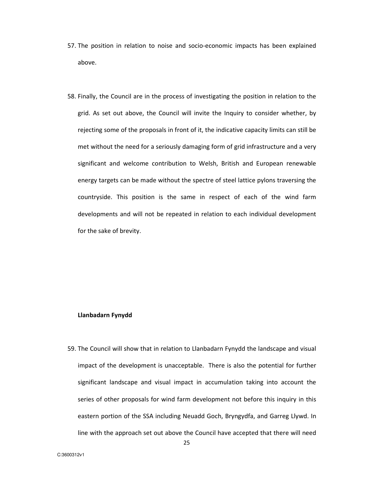- 57. The position in relation to noise and socio-economic impacts has been explained above.
- 58. Finally, the Council are in the process of investigating the position in relation to the grid. As set out above, the Council will invite the Inquiry to consider whether, by rejecting some of the proposals in front of it, the indicative capacity limits can still be met without the need for a seriously damaging form of grid infrastructure and a very significant and welcome contribution to Welsh, British and European renewable energy targets can be made without the spectre of steel lattice pylons traversing the countryside. This position is the same in respect of each of the wind farm developments and will not be repeated in relation to each individual development for the sake of brevity.

# Llanbadarn Fynydd

59. The Council will show that in relation to Llanbadarn Fynydd the landscape and visual impact of the development is unacceptable. There is also the potential for further significant landscape and visual impact in accumulation taking into account the series of other proposals for wind farm development not before this inquiry in this eastern portion of the SSA including Neuadd Goch, Bryngydfa, and Garreg Llywd. In line with the approach set out above the Council have accepted that there will need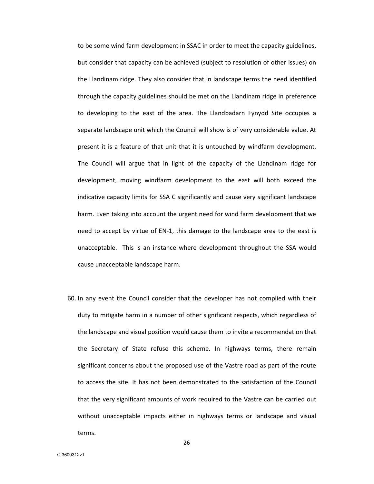to be some wind farm development in SSAC in order to meet the capacity guidelines, but consider that capacity can be achieved (subject to resolution of other issues) on the Llandinam ridge. They also consider that in landscape terms the need identified through the capacity guidelines should be met on the Llandinam ridge in preference to developing to the east of the area. The Llandbadarn Fynydd Site occupies a separate landscape unit which the Council will show is of very considerable value. At present it is a feature of that unit that it is untouched by windfarm development. The Council will argue that in light of the capacity of the Llandinam ridge for development, moving windfarm development to the east will both exceed the indicative capacity limits for SSA C significantly and cause very significant landscape harm. Even taking into account the urgent need for wind farm development that we need to accept by virtue of EN-1, this damage to the landscape area to the east is unacceptable. This is an instance where development throughout the SSA would cause unacceptable landscape harm.

60. In any event the Council consider that the developer has not complied with their duty to mitigate harm in a number of other significant respects, which regardless of the landscape and visual position would cause them to invite a recommendation that the Secretary of State refuse this scheme. In highways terms, there remain significant concerns about the proposed use of the Vastre road as part of the route to access the site. It has not been demonstrated to the satisfaction of the Council that the very significant amounts of work required to the Vastre can be carried out without unacceptable impacts either in highways terms or landscape and visual terms.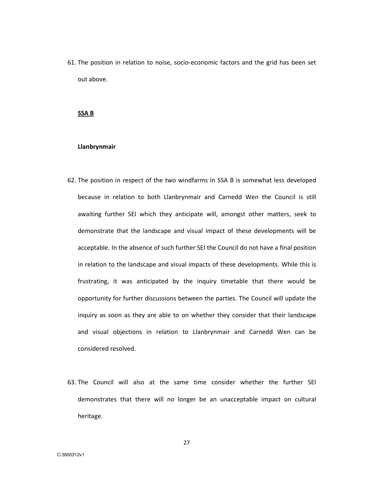61. The position in relation to noise, socio-economic factors and the grid has been set out above.

### SSA B

#### Llanbrynmair

- 62. The position in respect of the two windfarms in SSA B is somewhat less developed because in relation to both Llanbrynmair and Carnedd Wen the Council is still awaiting further SEI which they anticipate will, amongst other matters, seek to demonstrate that the landscape and visual impact of these developments will be acceptable. In the absence of such further SEI the Council do not have a final position in relation to the landscape and visual impacts of these developments. While this is frustrating, it was anticipated by the inquiry timetable that there would be opportunity for further discussions between the parties. The Council will update the inquiry as soon as they are able to on whether they consider that their landscape and visual objections in relation to Llanbrynmair and Carnedd Wen can be considered resolved.
- 63. The Council will also at the same time consider whether the further SEI demonstrates that there will no longer be an unacceptable impact on cultural heritage.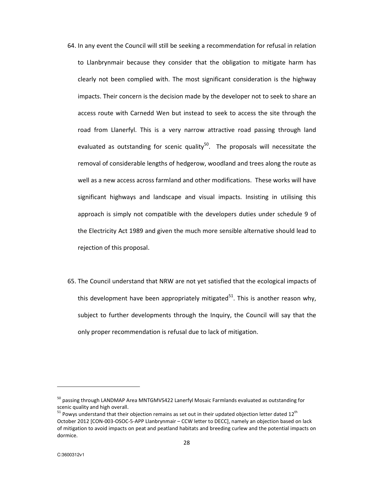- 64. In any event the Council will still be seeking a recommendation for refusal in relation to Llanbrynmair because they consider that the obligation to mitigate harm has clearly not been complied with. The most significant consideration is the highway impacts. Their concern is the decision made by the developer not to seek to share an access route with Carnedd Wen but instead to seek to access the site through the road from Llanerfyl. This is a very narrow attractive road passing through land evaluated as outstanding for scenic quality<sup>50</sup>. The proposals will necessitate the removal of considerable lengths of hedgerow, woodland and trees along the route as well as a new access across farmland and other modifications. These works will have significant highways and landscape and visual impacts. Insisting in utilising this approach is simply not compatible with the developers duties under schedule 9 of the Electricity Act 1989 and given the much more sensible alternative should lead to rejection of this proposal.
- 65. The Council understand that NRW are not yet satisfied that the ecological impacts of this development have been appropriately mitigated<sup>51</sup>. This is another reason why, subject to further developments through the Inquiry, the Council will say that the only proper recommendation is refusal due to lack of mitigation.

<sup>&</sup>lt;sup>50</sup> passing through LANDMAP Area MNTGMVS422 Lanerfyl Mosaic Farmlands evaluated as outstanding for scenic quality and high overall.

 $51$  Powys understand that their objection remains as set out in their updated objection letter dated 12<sup>th</sup> October 2012 [CON-003-OSOC-5-APP Llanbrynmair – CCW letter to DECC], namely an objection based on lack of mitigation to avoid impacts on peat and peatland habitats and breeding curlew and the potential impacts on dormice.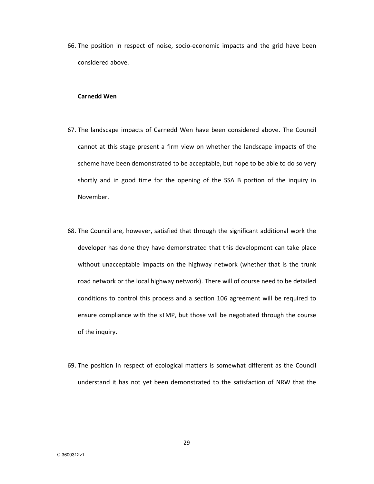66. The position in respect of noise, socio-economic impacts and the grid have been considered above.

### Carnedd Wen

- 67. The landscape impacts of Carnedd Wen have been considered above. The Council cannot at this stage present a firm view on whether the landscape impacts of the scheme have been demonstrated to be acceptable, but hope to be able to do so very shortly and in good time for the opening of the SSA B portion of the inquiry in November.
- 68. The Council are, however, satisfied that through the significant additional work the developer has done they have demonstrated that this development can take place without unacceptable impacts on the highway network (whether that is the trunk road network or the local highway network). There will of course need to be detailed conditions to control this process and a section 106 agreement will be required to ensure compliance with the sTMP, but those will be negotiated through the course of the inquiry.
- 69. The position in respect of ecological matters is somewhat different as the Council understand it has not yet been demonstrated to the satisfaction of NRW that the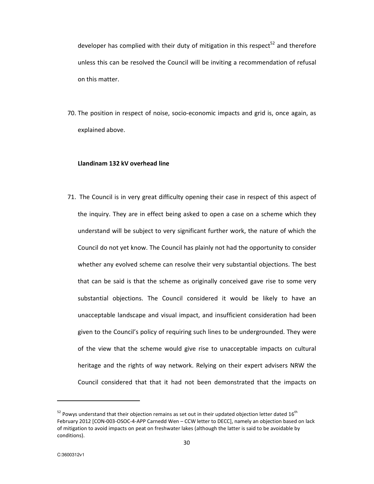developer has complied with their duty of mitigation in this respect<sup>52</sup> and therefore unless this can be resolved the Council will be inviting a recommendation of refusal on this matter.

70. The position in respect of noise, socio-economic impacts and grid is, once again, as explained above.

## Llandinam 132 kV overhead line

71. The Council is in very great difficulty opening their case in respect of this aspect of the inquiry. They are in effect being asked to open a case on a scheme which they understand will be subject to very significant further work, the nature of which the Council do not yet know. The Council has plainly not had the opportunity to consider whether any evolved scheme can resolve their very substantial objections. The best that can be said is that the scheme as originally conceived gave rise to some very substantial objections. The Council considered it would be likely to have an unacceptable landscape and visual impact, and insufficient consideration had been given to the Council's policy of requiring such lines to be undergrounded. They were of the view that the scheme would give rise to unacceptable impacts on cultural heritage and the rights of way network. Relying on their expert advisers NRW the Council considered that that it had not been demonstrated that the impacts on

 $\overline{a}$ 

 $52$  Powys understand that their objection remains as set out in their updated objection letter dated 16<sup>th</sup> February 2012 [CON-003-OSOC-4-APP Carnedd Wen – CCW letter to DECC], namely an objection based on lack of mitigation to avoid impacts on peat on freshwater lakes (although the latter is said to be avoidable by conditions).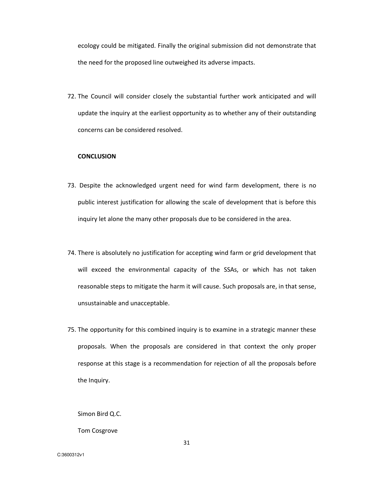ecology could be mitigated. Finally the original submission did not demonstrate that the need for the proposed line outweighed its adverse impacts.

72. The Council will consider closely the substantial further work anticipated and will update the inquiry at the earliest opportunity as to whether any of their outstanding concerns can be considered resolved.

### **CONCLUSION**

- 73. Despite the acknowledged urgent need for wind farm development, there is no public interest justification for allowing the scale of development that is before this inquiry let alone the many other proposals due to be considered in the area.
- 74. There is absolutely no justification for accepting wind farm or grid development that will exceed the environmental capacity of the SSAs, or which has not taken reasonable steps to mitigate the harm it will cause. Such proposals are, in that sense, unsustainable and unacceptable.
- 75. The opportunity for this combined inquiry is to examine in a strategic manner these proposals. When the proposals are considered in that context the only proper response at this stage is a recommendation for rejection of all the proposals before the Inquiry.

Simon Bird Q.C.

Tom Cosgrove